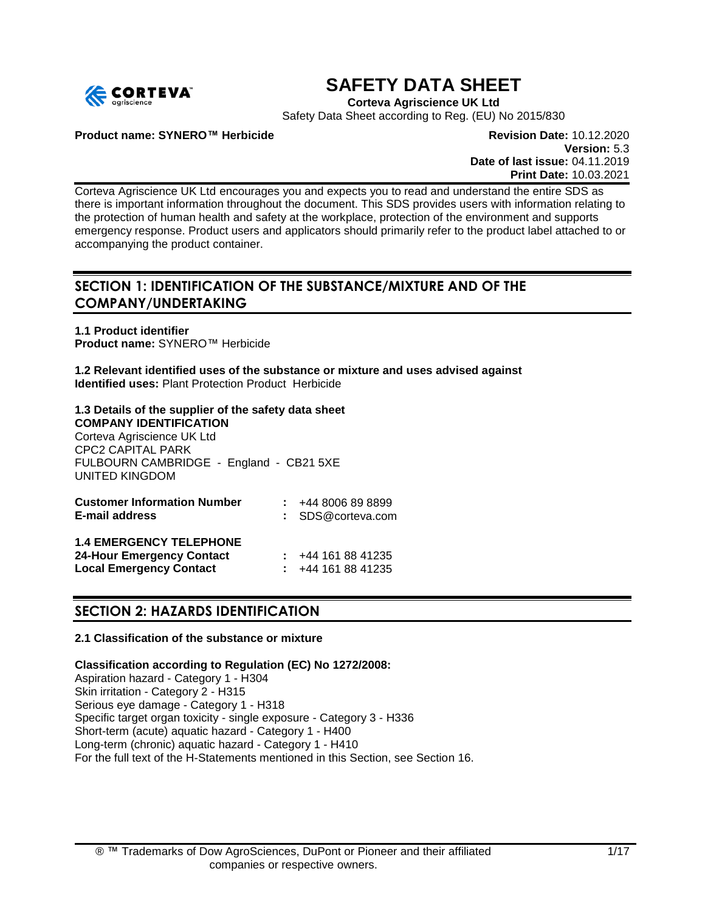

# **SAFETY DATA SHEET**

**Corteva Agriscience UK Ltd**

Safety Data Sheet according to Reg. (EU) No 2015/830

**Product name: SYNERO™ Herbicide Revision Date:** 10.12.2020

**Version:** 5.3 **Date of last issue:** 04.11.2019 **Print Date:** 10.03.2021

Corteva Agriscience UK Ltd encourages you and expects you to read and understand the entire SDS as there is important information throughout the document. This SDS provides users with information relating to the protection of human health and safety at the workplace, protection of the environment and supports emergency response. Product users and applicators should primarily refer to the product label attached to or accompanying the product container.

# **SECTION 1: IDENTIFICATION OF THE SUBSTANCE/MIXTURE AND OF THE COMPANY/UNDERTAKING**

**1.1 Product identifier Product name:** SYNERO™ Herbicide

**1.2 Relevant identified uses of the substance or mixture and uses advised against Identified uses:** Plant Protection Product Herbicide

#### **1.3 Details of the supplier of the safety data sheet COMPANY IDENTIFICATION**

Corteva Agriscience UK Ltd CPC2 CAPITAL PARK FULBOURN CAMBRIDGE - England - CB21 5XE UNITED KINGDOM

| <b>Customer Information Number</b><br><b>E-mail address</b>                                          | $\div$ +44 8006 89 8899<br>: SDS@corteva.com       |
|------------------------------------------------------------------------------------------------------|----------------------------------------------------|
| <b>1.4 EMERGENCY TELEPHONE</b><br><b>24-Hour Emergency Contact</b><br><b>Local Emergency Contact</b> | $\div$ +44 161 88 41235<br>$\div$ +44 161 88 41235 |

# **SECTION 2: HAZARDS IDENTIFICATION**

# **2.1 Classification of the substance or mixture**

**Classification according to Regulation (EC) No 1272/2008:**

Aspiration hazard - Category 1 - H304 Skin irritation - Category 2 - H315 Serious eye damage - Category 1 - H318 Specific target organ toxicity - single exposure - Category 3 - H336 Short-term (acute) aquatic hazard - Category 1 - H400 Long-term (chronic) aquatic hazard - Category 1 - H410 For the full text of the H-Statements mentioned in this Section, see Section 16.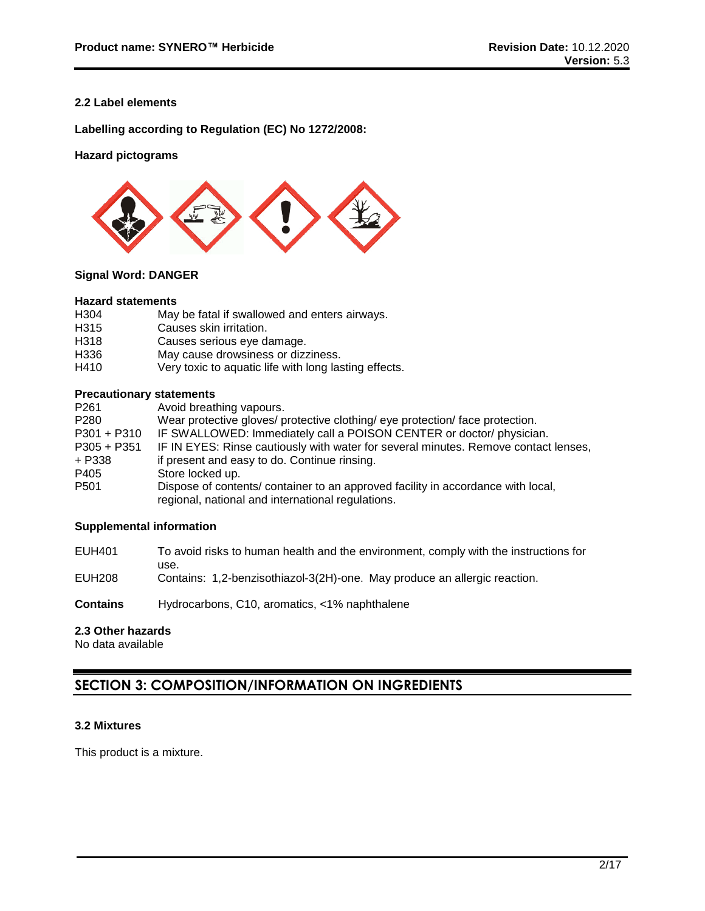# **2.2 Label elements**

**Labelling according to Regulation (EC) No 1272/2008:**

# **Hazard pictograms**



# **Signal Word: DANGER**

#### **Hazard statements**

| H <sub>304</sub> | May be fatal if swallowed and enters airways.         |
|------------------|-------------------------------------------------------|
| H <sub>315</sub> | Causes skin irritation.                               |
| H318             | Causes serious eye damage.                            |
| H336             | May cause drowsiness or dizziness.                    |
| H410             | Very toxic to aquatic life with long lasting effects. |

# **Precautionary statements**

| P <sub>261</sub> | Avoid breathing vapours.                                                                                                              |
|------------------|---------------------------------------------------------------------------------------------------------------------------------------|
| P <sub>280</sub> | Wear protective gloves/ protective clothing/ eye protection/ face protection.                                                         |
| $P301 + P310$    | IF SWALLOWED: Immediately call a POISON CENTER or doctor/ physician.                                                                  |
| $P305 + P351$    | IF IN EYES: Rinse cautiously with water for several minutes. Remove contact lenses,                                                   |
| + P338           | if present and easy to do. Continue rinsing.                                                                                          |
| P405             | Store locked up.                                                                                                                      |
| P <sub>501</sub> | Dispose of contents/ container to an approved facility in accordance with local,<br>regional, national and international regulations. |

# **Supplemental information**

- EUH401 To avoid risks to human health and the environment, comply with the instructions for use.
- EUH208 Contains: 1,2-benzisothiazol-3(2H)-one. May produce an allergic reaction.
- **Contains** Hydrocarbons, C10, aromatics, <1% naphthalene

# **2.3 Other hazards**

No data available

# **SECTION 3: COMPOSITION/INFORMATION ON INGREDIENTS**

### **3.2 Mixtures**

This product is a mixture.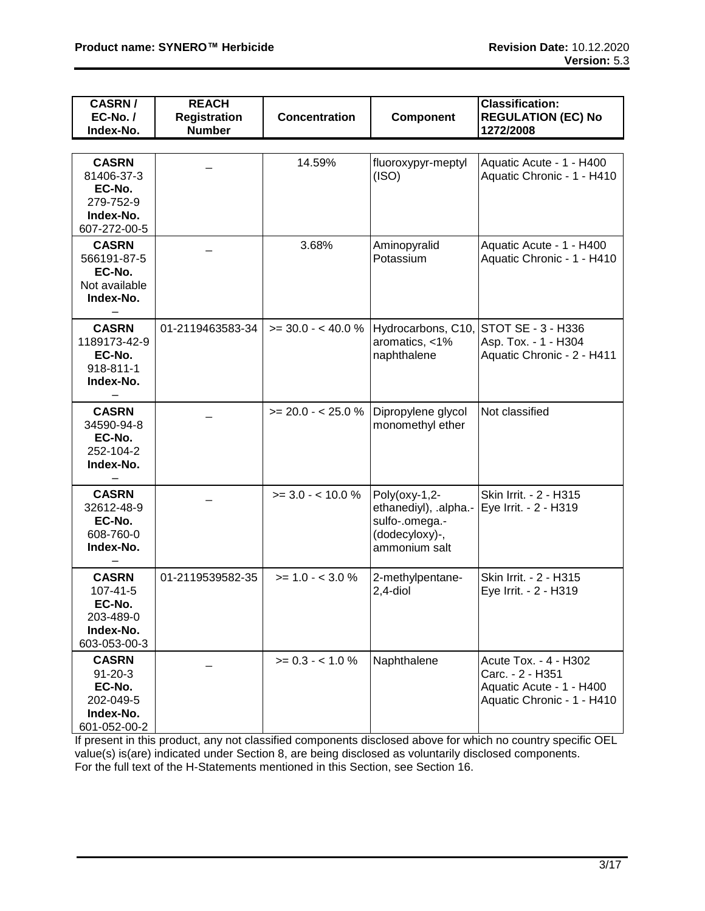| <b>CASRN/</b><br>EC-No./<br>Index-No.                                             | <b>REACH</b><br><b>Registration</b><br><b>Number</b> | <b>Concentration</b> | Component                                                                                   | <b>Classification:</b><br><b>REGULATION (EC) No</b><br>1272/2008                                    |
|-----------------------------------------------------------------------------------|------------------------------------------------------|----------------------|---------------------------------------------------------------------------------------------|-----------------------------------------------------------------------------------------------------|
| <b>CASRN</b><br>81406-37-3<br>EC-No.<br>279-752-9<br>Index-No.<br>607-272-00-5    |                                                      | 14.59%               | fluoroxypyr-meptyl<br>(ISO)                                                                 | Aquatic Acute - 1 - H400<br>Aquatic Chronic - 1 - H410                                              |
| <b>CASRN</b><br>566191-87-5<br>EC-No.<br>Not available<br>Index-No.               |                                                      | 3.68%                | Aminopyralid<br>Potassium                                                                   | Aquatic Acute - 1 - H400<br>Aquatic Chronic - 1 - H410                                              |
| <b>CASRN</b><br>1189173-42-9<br>EC-No.<br>918-811-1<br>Index-No.                  | 01-2119463583-34                                     | $>=$ 30.0 - < 40.0 % | Hydrocarbons, C10,<br>aromatics, <1%<br>naphthalene                                         | STOT SE - 3 - H336<br>Asp. Tox. - 1 - H304<br>Aquatic Chronic - 2 - H411                            |
| <b>CASRN</b><br>34590-94-8<br>EC-No.<br>252-104-2<br>Index-No.                    |                                                      | $>= 20.0 - < 25.0 %$ | Dipropylene glycol<br>monomethyl ether                                                      | Not classified                                                                                      |
| <b>CASRN</b><br>32612-48-9<br>EC-No.<br>608-760-0<br>Index-No.                    |                                                      | $>= 3.0 - 10.0 \%$   | Poly(oxy-1,2-<br>ethanediyl), .alpha.-<br>sulfo-.omega.-<br>(dodecyloxy)-,<br>ammonium salt | Skin Irrit. - 2 - H315<br>Eye Irrit. - 2 - H319                                                     |
| <b>CASRN</b><br>107-41-5<br>EC-No.<br>203-489-0<br>Index-No.<br>603-053-00-3      | 01-2119539582-35                                     | $>= 1.0 - < 3.0 %$   | 2-methylpentane-<br>$2,4$ -diol                                                             | Skin Irrit. - 2 - H315<br>Eye Irrit. - 2 - H319                                                     |
| <b>CASRN</b><br>$91 - 20 - 3$<br>EC-No.<br>202-049-5<br>Index-No.<br>601-052-00-2 |                                                      | $>= 0.3 - < 1.0 %$   | Naphthalene                                                                                 | Acute Tox. - 4 - H302<br>Carc. - 2 - H351<br>Aquatic Acute - 1 - H400<br>Aquatic Chronic - 1 - H410 |

If present in this product, any not classified components disclosed above for which no country specific OEL value(s) is(are) indicated under Section 8, are being disclosed as voluntarily disclosed components. For the full text of the H-Statements mentioned in this Section, see Section 16.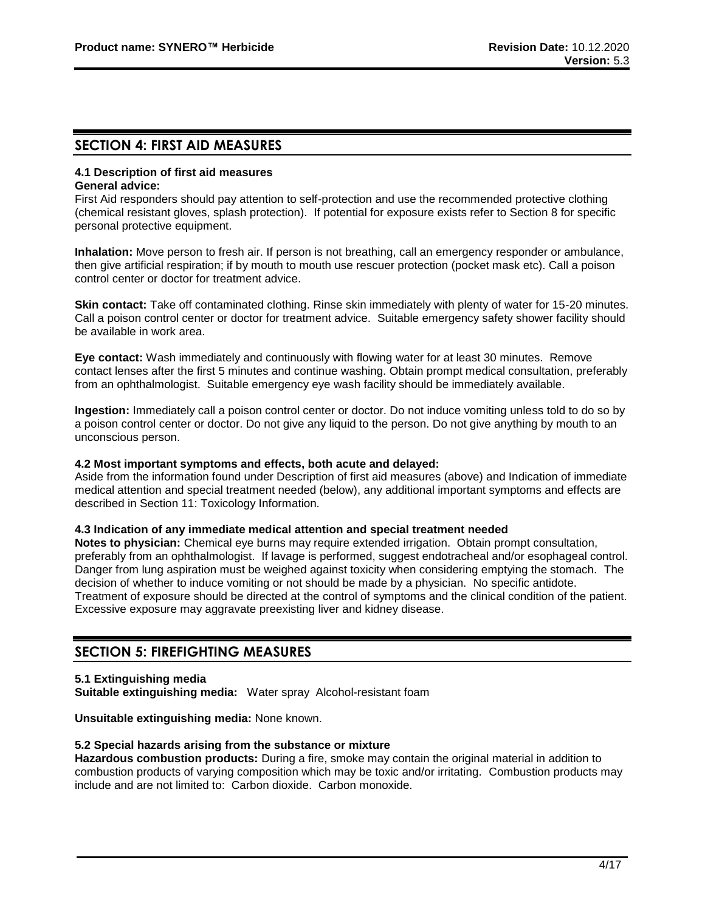# **SECTION 4: FIRST AID MEASURES**

#### **4.1 Description of first aid measures General advice:**

First Aid responders should pay attention to self-protection and use the recommended protective clothing (chemical resistant gloves, splash protection). If potential for exposure exists refer to Section 8 for specific personal protective equipment.

**Inhalation:** Move person to fresh air. If person is not breathing, call an emergency responder or ambulance, then give artificial respiration; if by mouth to mouth use rescuer protection (pocket mask etc). Call a poison control center or doctor for treatment advice.

**Skin contact:** Take off contaminated clothing. Rinse skin immediately with plenty of water for 15-20 minutes. Call a poison control center or doctor for treatment advice. Suitable emergency safety shower facility should be available in work area.

**Eye contact:** Wash immediately and continuously with flowing water for at least 30 minutes. Remove contact lenses after the first 5 minutes and continue washing. Obtain prompt medical consultation, preferably from an ophthalmologist. Suitable emergency eye wash facility should be immediately available.

**Ingestion:** Immediately call a poison control center or doctor. Do not induce vomiting unless told to do so by a poison control center or doctor. Do not give any liquid to the person. Do not give anything by mouth to an unconscious person.

### **4.2 Most important symptoms and effects, both acute and delayed:**

Aside from the information found under Description of first aid measures (above) and Indication of immediate medical attention and special treatment needed (below), any additional important symptoms and effects are described in Section 11: Toxicology Information.

### **4.3 Indication of any immediate medical attention and special treatment needed**

**Notes to physician:** Chemical eye burns may require extended irrigation. Obtain prompt consultation, preferably from an ophthalmologist. If lavage is performed, suggest endotracheal and/or esophageal control. Danger from lung aspiration must be weighed against toxicity when considering emptying the stomach. The decision of whether to induce vomiting or not should be made by a physician. No specific antidote. Treatment of exposure should be directed at the control of symptoms and the clinical condition of the patient. Excessive exposure may aggravate preexisting liver and kidney disease.

# **SECTION 5: FIREFIGHTING MEASURES**

### **5.1 Extinguishing media**

**Suitable extinguishing media:** Water spray Alcohol-resistant foam

**Unsuitable extinguishing media:** None known.

### **5.2 Special hazards arising from the substance or mixture**

**Hazardous combustion products:** During a fire, smoke may contain the original material in addition to combustion products of varying composition which may be toxic and/or irritating. Combustion products may include and are not limited to: Carbon dioxide. Carbon monoxide.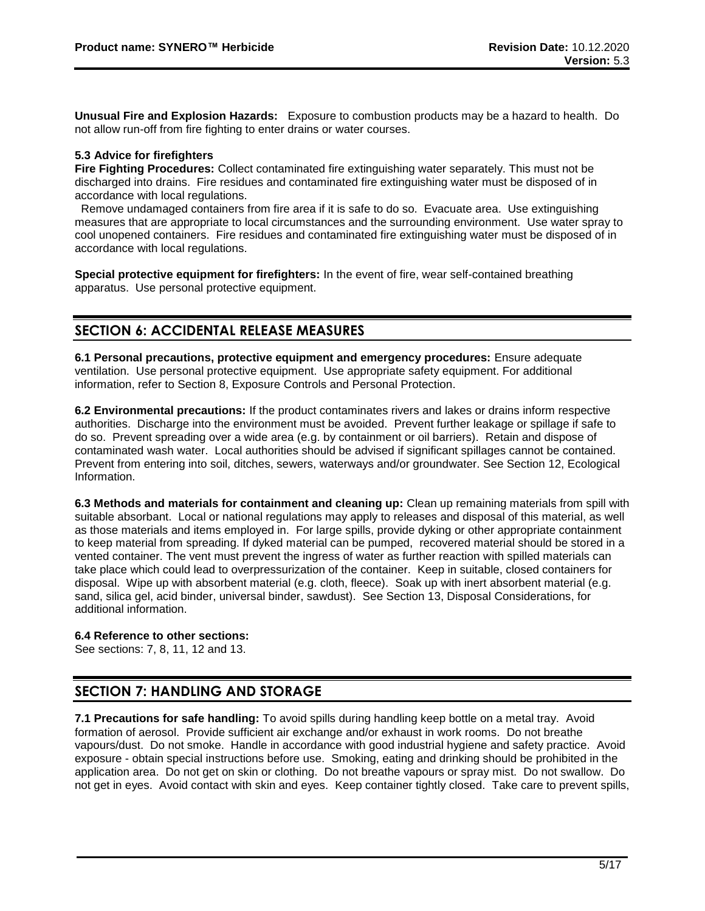**Unusual Fire and Explosion Hazards:** Exposure to combustion products may be a hazard to health. Do not allow run-off from fire fighting to enter drains or water courses.

# **5.3 Advice for firefighters**

**Fire Fighting Procedures:** Collect contaminated fire extinguishing water separately. This must not be discharged into drains. Fire residues and contaminated fire extinguishing water must be disposed of in accordance with local regulations.

 Remove undamaged containers from fire area if it is safe to do so. Evacuate area. Use extinguishing measures that are appropriate to local circumstances and the surrounding environment. Use water spray to cool unopened containers. Fire residues and contaminated fire extinguishing water must be disposed of in accordance with local regulations.

**Special protective equipment for firefighters:** In the event of fire, wear self-contained breathing apparatus. Use personal protective equipment.

# **SECTION 6: ACCIDENTAL RELEASE MEASURES**

**6.1 Personal precautions, protective equipment and emergency procedures:** Ensure adequate ventilation. Use personal protective equipment. Use appropriate safety equipment. For additional information, refer to Section 8, Exposure Controls and Personal Protection.

**6.2 Environmental precautions:** If the product contaminates rivers and lakes or drains inform respective authorities. Discharge into the environment must be avoided. Prevent further leakage or spillage if safe to do so. Prevent spreading over a wide area (e.g. by containment or oil barriers). Retain and dispose of contaminated wash water. Local authorities should be advised if significant spillages cannot be contained. Prevent from entering into soil, ditches, sewers, waterways and/or groundwater. See Section 12, Ecological Information.

**6.3 Methods and materials for containment and cleaning up:** Clean up remaining materials from spill with suitable absorbant. Local or national regulations may apply to releases and disposal of this material, as well as those materials and items employed in. For large spills, provide dyking or other appropriate containment to keep material from spreading. If dyked material can be pumped, recovered material should be stored in a vented container. The vent must prevent the ingress of water as further reaction with spilled materials can take place which could lead to overpressurization of the container. Keep in suitable, closed containers for disposal. Wipe up with absorbent material (e.g. cloth, fleece). Soak up with inert absorbent material (e.g. sand, silica gel, acid binder, universal binder, sawdust). See Section 13, Disposal Considerations, for additional information.

### **6.4 Reference to other sections:**

See sections: 7, 8, 11, 12 and 13.

# **SECTION 7: HANDLING AND STORAGE**

**7.1 Precautions for safe handling:** To avoid spills during handling keep bottle on a metal tray. Avoid formation of aerosol. Provide sufficient air exchange and/or exhaust in work rooms. Do not breathe vapours/dust. Do not smoke. Handle in accordance with good industrial hygiene and safety practice. Avoid exposure - obtain special instructions before use. Smoking, eating and drinking should be prohibited in the application area. Do not get on skin or clothing. Do not breathe vapours or spray mist. Do not swallow. Do not get in eyes. Avoid contact with skin and eyes. Keep container tightly closed. Take care to prevent spills,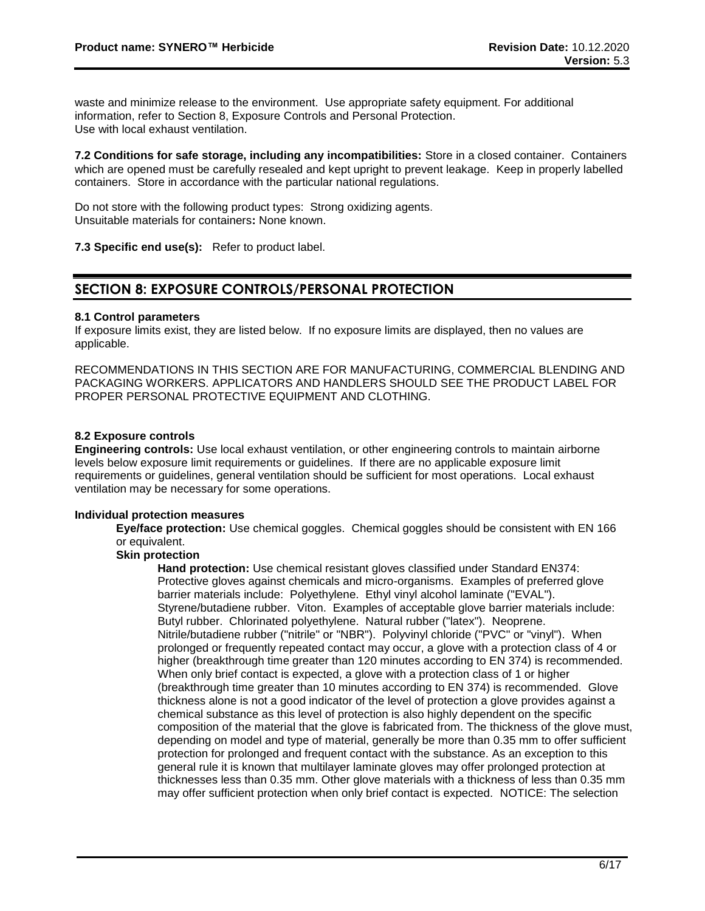waste and minimize release to the environment. Use appropriate safety equipment. For additional information, refer to Section 8, Exposure Controls and Personal Protection. Use with local exhaust ventilation.

**7.2 Conditions for safe storage, including any incompatibilities:** Store in a closed container. Containers which are opened must be carefully resealed and kept upright to prevent leakage. Keep in properly labelled containers. Store in accordance with the particular national regulations.

Do not store with the following product types: Strong oxidizing agents. Unsuitable materials for containers**:** None known.

**7.3 Specific end use(s):** Refer to product label.

# **SECTION 8: EXPOSURE CONTROLS/PERSONAL PROTECTION**

### **8.1 Control parameters**

If exposure limits exist, they are listed below. If no exposure limits are displayed, then no values are applicable.

RECOMMENDATIONS IN THIS SECTION ARE FOR MANUFACTURING, COMMERCIAL BLENDING AND PACKAGING WORKERS. APPLICATORS AND HANDLERS SHOULD SEE THE PRODUCT LABEL FOR PROPER PERSONAL PROTECTIVE EQUIPMENT AND CLOTHING.

### **8.2 Exposure controls**

**Engineering controls:** Use local exhaust ventilation, or other engineering controls to maintain airborne levels below exposure limit requirements or guidelines. If there are no applicable exposure limit requirements or guidelines, general ventilation should be sufficient for most operations. Local exhaust ventilation may be necessary for some operations.

### **Individual protection measures**

**Eye/face protection:** Use chemical goggles. Chemical goggles should be consistent with EN 166 or equivalent.

# **Skin protection**

**Hand protection:** Use chemical resistant gloves classified under Standard EN374: Protective gloves against chemicals and micro-organisms. Examples of preferred glove barrier materials include: Polyethylene. Ethyl vinyl alcohol laminate ("EVAL"). Styrene/butadiene rubber. Viton. Examples of acceptable glove barrier materials include: Butyl rubber. Chlorinated polyethylene. Natural rubber ("latex"). Neoprene. Nitrile/butadiene rubber ("nitrile" or "NBR"). Polyvinyl chloride ("PVC" or "vinyl"). When prolonged or frequently repeated contact may occur, a glove with a protection class of 4 or higher (breakthrough time greater than 120 minutes according to EN 374) is recommended. When only brief contact is expected, a glove with a protection class of 1 or higher (breakthrough time greater than 10 minutes according to EN 374) is recommended. Glove thickness alone is not a good indicator of the level of protection a glove provides against a chemical substance as this level of protection is also highly dependent on the specific composition of the material that the glove is fabricated from. The thickness of the glove must, depending on model and type of material, generally be more than 0.35 mm to offer sufficient protection for prolonged and frequent contact with the substance. As an exception to this general rule it is known that multilayer laminate gloves may offer prolonged protection at thicknesses less than 0.35 mm. Other glove materials with a thickness of less than 0.35 mm may offer sufficient protection when only brief contact is expected. NOTICE: The selection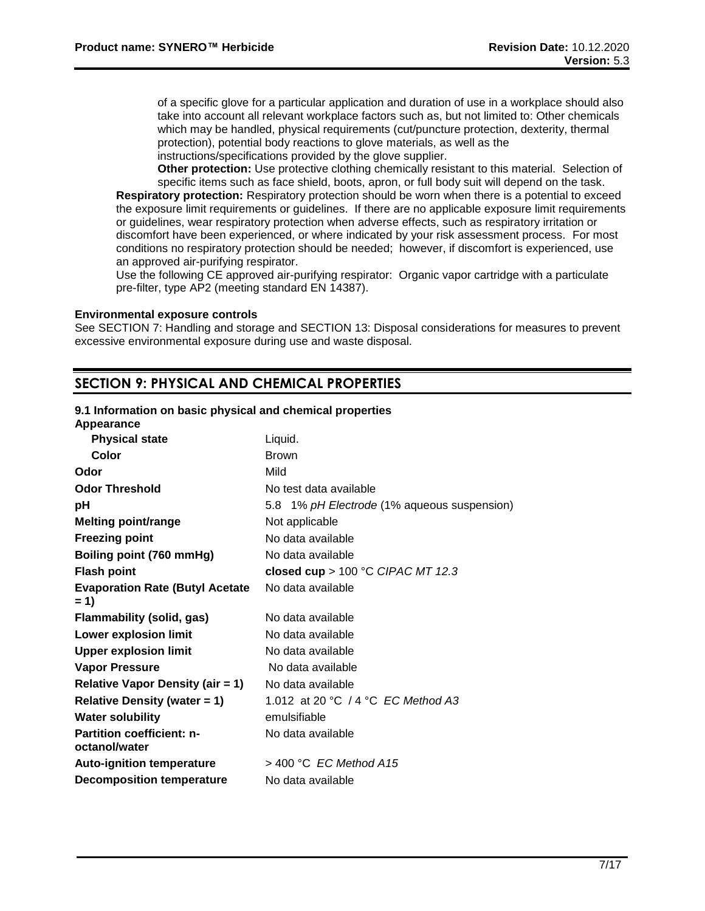of a specific glove for a particular application and duration of use in a workplace should also take into account all relevant workplace factors such as, but not limited to: Other chemicals which may be handled, physical requirements (cut/puncture protection, dexterity, thermal protection), potential body reactions to glove materials, as well as the instructions/specifications provided by the glove supplier.

**Other protection:** Use protective clothing chemically resistant to this material. Selection of specific items such as face shield, boots, apron, or full body suit will depend on the task. **Respiratory protection:** Respiratory protection should be worn when there is a potential to exceed the exposure limit requirements or guidelines. If there are no applicable exposure limit requirements or guidelines, wear respiratory protection when adverse effects, such as respiratory irritation or discomfort have been experienced, or where indicated by your risk assessment process. For most conditions no respiratory protection should be needed; however, if discomfort is experienced, use an approved air-purifying respirator.

Use the following CE approved air-purifying respirator: Organic vapor cartridge with a particulate pre-filter, type AP2 (meeting standard EN 14387).

#### **Environmental exposure controls**

See SECTION 7: Handling and storage and SECTION 13: Disposal considerations for measures to prevent excessive environmental exposure during use and waste disposal.

# **SECTION 9: PHYSICAL AND CHEMICAL PROPERTIES**

#### **9.1 Information on basic physical and chemical properties**

| Appearance                                        |                                             |
|---------------------------------------------------|---------------------------------------------|
| <b>Physical state</b>                             | Liquid.                                     |
| Color                                             | <b>Brown</b>                                |
| Odor                                              | Mild                                        |
| <b>Odor Threshold</b>                             | No test data available                      |
| рH                                                | 5.8 1% pH Electrode (1% aqueous suspension) |
| <b>Melting point/range</b>                        | Not applicable                              |
| <b>Freezing point</b>                             | No data available                           |
| Boiling point (760 mmHg)                          | No data available                           |
| <b>Flash point</b>                                | closed cup > $100 °C$ CIPAC MT 12.3         |
| <b>Evaporation Rate (Butyl Acetate</b><br>$= 1$   | No data available                           |
| <b>Flammability (solid, gas)</b>                  | No data available                           |
| <b>Lower explosion limit</b>                      | No data available                           |
| <b>Upper explosion limit</b>                      | No data available                           |
| <b>Vapor Pressure</b>                             | No data available                           |
| <b>Relative Vapor Density (air = 1)</b>           | No data available                           |
| <b>Relative Density (water = 1)</b>               | 1.012 at 20 °C / 4 °C EC Method A3          |
| <b>Water solubility</b>                           | emulsifiable                                |
| <b>Partition coefficient: n-</b><br>octanol/water | No data available                           |
| <b>Auto-ignition temperature</b>                  | $>$ 400 °C EC Method A15                    |
| <b>Decomposition temperature</b>                  | No data available                           |
|                                                   |                                             |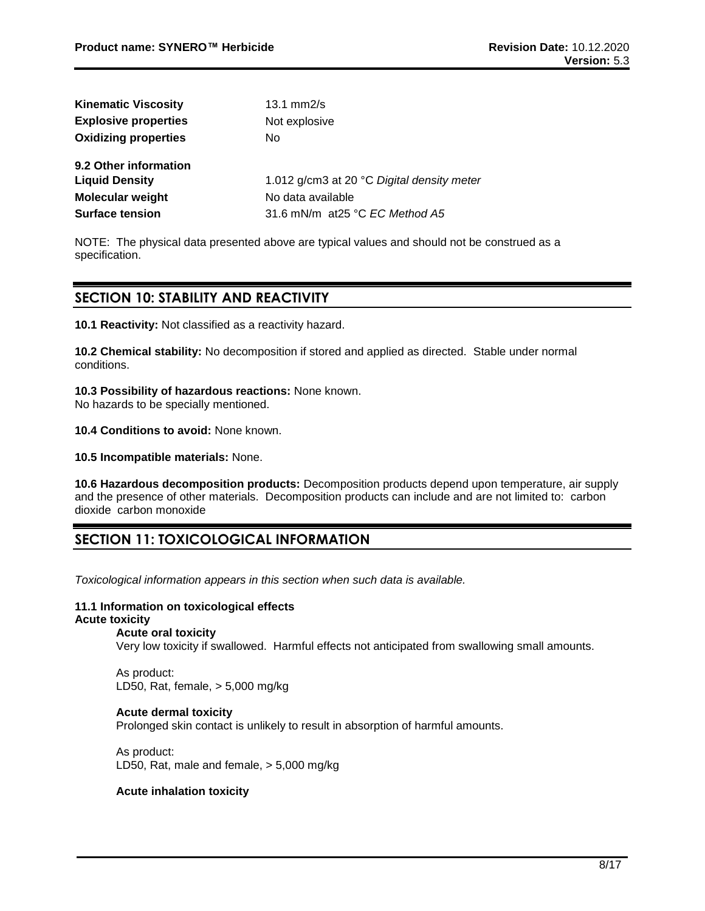| <b>Kinematic Viscosity</b>  | $13.1$ mm $2/s$                            |
|-----------------------------|--------------------------------------------|
| <b>Explosive properties</b> | Not explosive                              |
| <b>Oxidizing properties</b> | No                                         |
| 9.2 Other information       |                                            |
| <b>Liquid Density</b>       | 1.012 g/cm3 at 20 °C Digital density meter |
| <b>Molecular weight</b>     | No data available                          |
| <b>Surface tension</b>      | 31.6 mN/m at 25 °C <i>EC Method A5</i>     |

NOTE: The physical data presented above are typical values and should not be construed as a specification.

# **SECTION 10: STABILITY AND REACTIVITY**

**10.1 Reactivity:** Not classified as a reactivity hazard.

**10.2 Chemical stability:** No decomposition if stored and applied as directed. Stable under normal conditions.

**10.3 Possibility of hazardous reactions:** None known.

No hazards to be specially mentioned.

**10.4 Conditions to avoid:** None known.

**10.5 Incompatible materials:** None.

**10.6 Hazardous decomposition products:** Decomposition products depend upon temperature, air supply and the presence of other materials. Decomposition products can include and are not limited to: carbon dioxide carbon monoxide

# **SECTION 11: TOXICOLOGICAL INFORMATION**

*Toxicological information appears in this section when such data is available.*

### **11.1 Information on toxicological effects**

# **Acute toxicity**

**Acute oral toxicity**

Very low toxicity if swallowed. Harmful effects not anticipated from swallowing small amounts.

As product: LD50, Rat, female, > 5,000 mg/kg

# **Acute dermal toxicity**

Prolonged skin contact is unlikely to result in absorption of harmful amounts.

As product: LD50, Rat, male and female, > 5,000 mg/kg

### **Acute inhalation toxicity**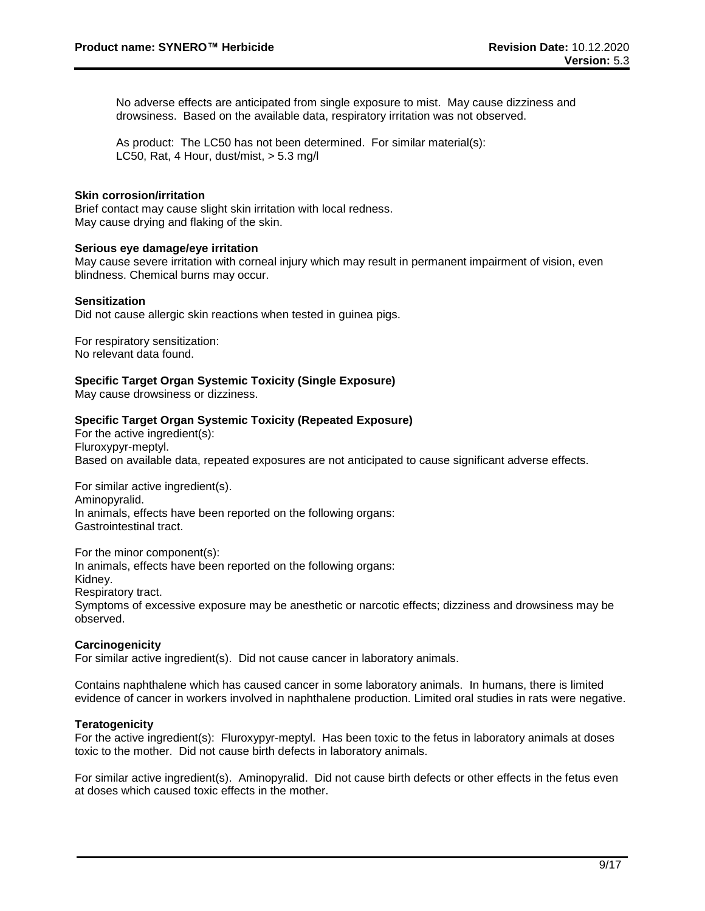No adverse effects are anticipated from single exposure to mist. May cause dizziness and drowsiness. Based on the available data, respiratory irritation was not observed.

As product: The LC50 has not been determined. For similar material(s): LC50, Rat, 4 Hour, dust/mist, > 5.3 mg/l

#### **Skin corrosion/irritation**

Brief contact may cause slight skin irritation with local redness. May cause drying and flaking of the skin.

#### **Serious eye damage/eye irritation**

May cause severe irritation with corneal injury which may result in permanent impairment of vision, even blindness. Chemical burns may occur.

#### **Sensitization**

Did not cause allergic skin reactions when tested in guinea pigs.

For respiratory sensitization: No relevant data found.

**Specific Target Organ Systemic Toxicity (Single Exposure)**

May cause drowsiness or dizziness.

#### **Specific Target Organ Systemic Toxicity (Repeated Exposure)**

For the active ingredient(s): Fluroxypyr-meptyl. Based on available data, repeated exposures are not anticipated to cause significant adverse effects.

For similar active ingredient(s). Aminopyralid. In animals, effects have been reported on the following organs: Gastrointestinal tract.

For the minor component(s): In animals, effects have been reported on the following organs: Kidney. Respiratory tract. Symptoms of excessive exposure may be anesthetic or narcotic effects; dizziness and drowsiness may be observed.

### **Carcinogenicity**

For similar active ingredient(s). Did not cause cancer in laboratory animals.

Contains naphthalene which has caused cancer in some laboratory animals. In humans, there is limited evidence of cancer in workers involved in naphthalene production. Limited oral studies in rats were negative.

#### **Teratogenicity**

For the active ingredient(s): Fluroxypyr-meptyl. Has been toxic to the fetus in laboratory animals at doses toxic to the mother. Did not cause birth defects in laboratory animals.

For similar active ingredient(s). Aminopyralid. Did not cause birth defects or other effects in the fetus even at doses which caused toxic effects in the mother.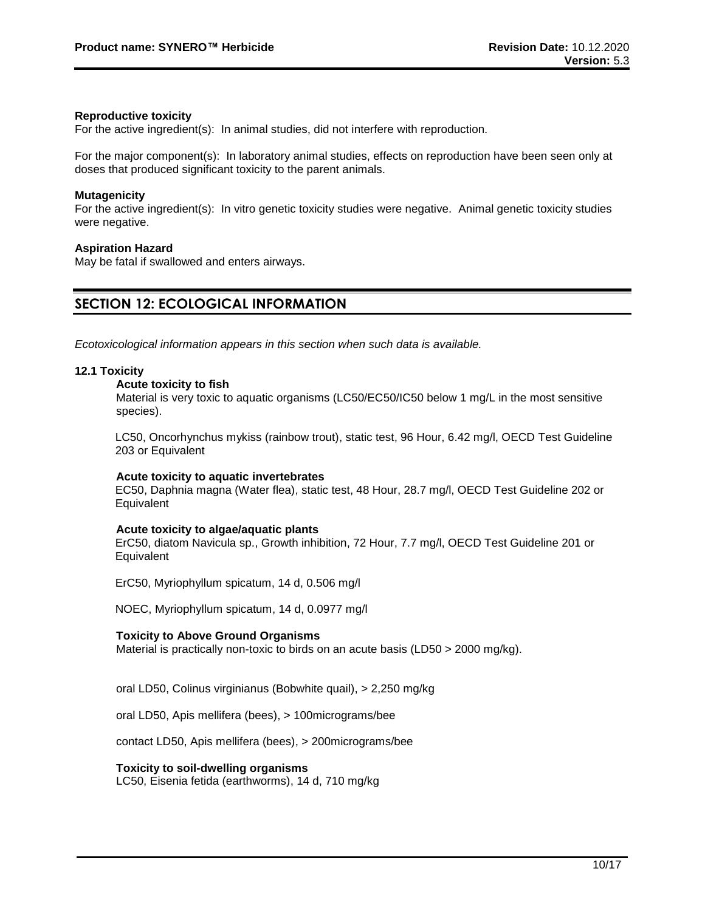### **Reproductive toxicity**

For the active ingredient(s): In animal studies, did not interfere with reproduction.

For the major component(s): In laboratory animal studies, effects on reproduction have been seen only at doses that produced significant toxicity to the parent animals.

#### **Mutagenicity**

For the active ingredient(s): In vitro genetic toxicity studies were negative. Animal genetic toxicity studies were negative.

#### **Aspiration Hazard**

May be fatal if swallowed and enters airways.

# **SECTION 12: ECOLOGICAL INFORMATION**

*Ecotoxicological information appears in this section when such data is available.*

#### **12.1 Toxicity**

#### **Acute toxicity to fish**

Material is very toxic to aquatic organisms (LC50/EC50/IC50 below 1 mg/L in the most sensitive species).

LC50, Oncorhynchus mykiss (rainbow trout), static test, 96 Hour, 6.42 mg/l, OECD Test Guideline 203 or Equivalent

#### **Acute toxicity to aquatic invertebrates**

EC50, Daphnia magna (Water flea), static test, 48 Hour, 28.7 mg/l, OECD Test Guideline 202 or **Equivalent** 

#### **Acute toxicity to algae/aquatic plants**

ErC50, diatom Navicula sp., Growth inhibition, 72 Hour, 7.7 mg/l, OECD Test Guideline 201 or Equivalent

ErC50, Myriophyllum spicatum, 14 d, 0.506 mg/l

NOEC, Myriophyllum spicatum, 14 d, 0.0977 mg/l

#### **Toxicity to Above Ground Organisms**

Material is practically non-toxic to birds on an acute basis (LD50  $>$  2000 mg/kg).

oral LD50, Colinus virginianus (Bobwhite quail), > 2,250 mg/kg

oral LD50, Apis mellifera (bees), > 100micrograms/bee

contact LD50, Apis mellifera (bees), > 200micrograms/bee

### **Toxicity to soil-dwelling organisms**

LC50, Eisenia fetida (earthworms), 14 d, 710 mg/kg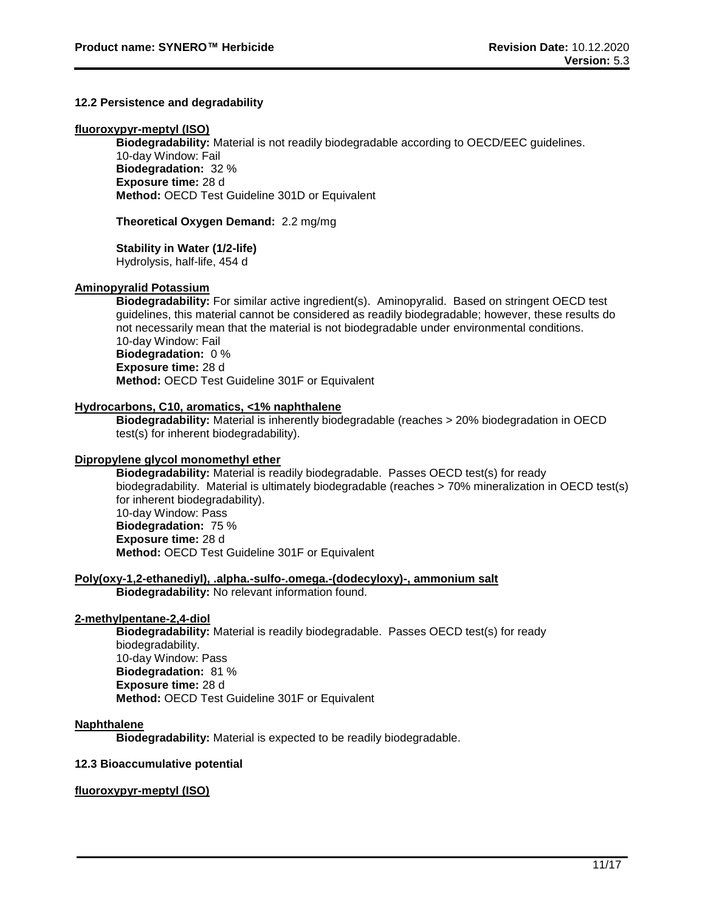### **12.2 Persistence and degradability**

#### **fluoroxypyr-meptyl (ISO)**

**Biodegradability:** Material is not readily biodegradable according to OECD/EEC guidelines. 10-day Window: Fail **Biodegradation:** 32 % **Exposure time:** 28 d **Method:** OECD Test Guideline 301D or Equivalent

**Theoretical Oxygen Demand:** 2.2 mg/mg

#### **Stability in Water (1/2-life)**

Hydrolysis, half-life, 454 d

#### **Aminopyralid Potassium**

**Biodegradability:** For similar active ingredient(s). Aminopyralid. Based on stringent OECD test guidelines, this material cannot be considered as readily biodegradable; however, these results do not necessarily mean that the material is not biodegradable under environmental conditions. 10-day Window: Fail **Biodegradation:** 0 % **Exposure time:** 28 d **Method:** OECD Test Guideline 301F or Equivalent

#### **Hydrocarbons, C10, aromatics, <1% naphthalene**

**Biodegradability:** Material is inherently biodegradable (reaches > 20% biodegradation in OECD test(s) for inherent biodegradability).

#### **Dipropylene glycol monomethyl ether**

**Biodegradability:** Material is readily biodegradable. Passes OECD test(s) for ready biodegradability. Material is ultimately biodegradable (reaches > 70% mineralization in OECD test(s) for inherent biodegradability). 10-day Window: Pass **Biodegradation:** 75 % **Exposure time:** 28 d **Method:** OECD Test Guideline 301F or Equivalent

### **Poly(oxy-1,2-ethanediyl), .alpha.-sulfo-.omega.-(dodecyloxy)-, ammonium salt**

**Biodegradability:** No relevant information found.

### **2-methylpentane-2,4-diol**

**Biodegradability:** Material is readily biodegradable. Passes OECD test(s) for ready biodegradability. 10-day Window: Pass **Biodegradation:** 81 % **Exposure time:** 28 d **Method:** OECD Test Guideline 301F or Equivalent

### **Naphthalene**

**Biodegradability:** Material is expected to be readily biodegradable.

### **12.3 Bioaccumulative potential**

### **fluoroxypyr-meptyl (ISO)**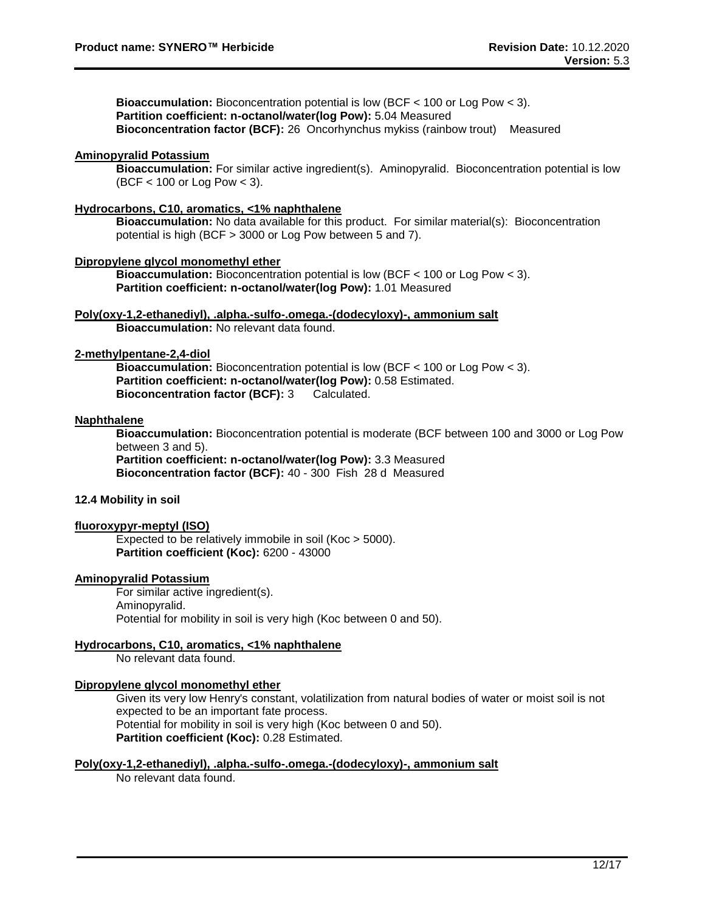**Bioaccumulation:** Bioconcentration potential is low (BCF < 100 or Log Pow < 3). **Partition coefficient: n-octanol/water(log Pow):** 5.04 Measured **Bioconcentration factor (BCF):** 26 Oncorhynchus mykiss (rainbow trout) Measured

# **Aminopyralid Potassium**

**Bioaccumulation:** For similar active ingredient(s). Aminopyralid. Bioconcentration potential is low (BCF < 100 or Log Pow < 3).

# **Hydrocarbons, C10, aromatics, <1% naphthalene**

**Bioaccumulation:** No data available for this product. For similar material(s): Bioconcentration potential is high (BCF > 3000 or Log Pow between 5 and 7).

### **Dipropylene glycol monomethyl ether**

**Bioaccumulation:** Bioconcentration potential is low (BCF < 100 or Log Pow < 3). **Partition coefficient: n-octanol/water(log Pow):** 1.01 Measured

#### **Poly(oxy-1,2-ethanediyl), .alpha.-sulfo-.omega.-(dodecyloxy)-, ammonium salt Bioaccumulation:** No relevant data found.

#### **2-methylpentane-2,4-diol**

**Bioaccumulation:** Bioconcentration potential is low (BCF < 100 or Log Pow < 3). **Partition coefficient: n-octanol/water(log Pow):** 0.58 Estimated. **Bioconcentration factor (BCF):** 3 Calculated.

### **Naphthalene**

**Bioaccumulation:** Bioconcentration potential is moderate (BCF between 100 and 3000 or Log Pow between 3 and 5).

**Partition coefficient: n-octanol/water(log Pow):** 3.3 Measured **Bioconcentration factor (BCF):** 40 - 300 Fish 28 d Measured

# **12.4 Mobility in soil**

#### **fluoroxypyr-meptyl (ISO)**

Expected to be relatively immobile in soil (Koc > 5000). **Partition coefficient (Koc):** 6200 - 43000

### **Aminopyralid Potassium**

For similar active ingredient(s). Aminopyralid. Potential for mobility in soil is very high (Koc between 0 and 50).

# **Hydrocarbons, C10, aromatics, <1% naphthalene**

No relevant data found.

### **Dipropylene glycol monomethyl ether**

Given its very low Henry's constant, volatilization from natural bodies of water or moist soil is not expected to be an important fate process. Potential for mobility in soil is very high (Koc between 0 and 50). **Partition coefficient (Koc):** 0.28 Estimated.

#### **Poly(oxy-1,2-ethanediyl), .alpha.-sulfo-.omega.-(dodecyloxy)-, ammonium salt**

No relevant data found.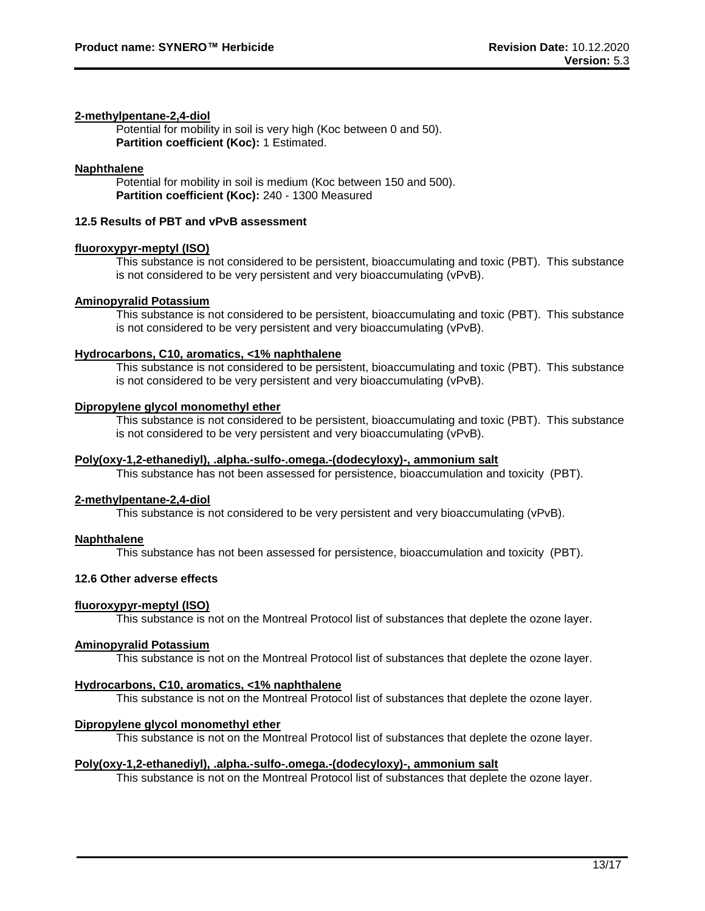# **2-methylpentane-2,4-diol**

Potential for mobility in soil is very high (Koc between 0 and 50). **Partition coefficient (Koc):** 1 Estimated.

#### **Naphthalene**

Potential for mobility in soil is medium (Koc between 150 and 500). **Partition coefficient (Koc):** 240 - 1300 Measured

# **12.5 Results of PBT and vPvB assessment**

#### **fluoroxypyr-meptyl (ISO)**

This substance is not considered to be persistent, bioaccumulating and toxic (PBT). This substance is not considered to be very persistent and very bioaccumulating (vPvB).

#### **Aminopyralid Potassium**

This substance is not considered to be persistent, bioaccumulating and toxic (PBT). This substance is not considered to be very persistent and very bioaccumulating (vPvB).

#### **Hydrocarbons, C10, aromatics, <1% naphthalene**

This substance is not considered to be persistent, bioaccumulating and toxic (PBT). This substance is not considered to be very persistent and very bioaccumulating (vPvB).

#### **Dipropylene glycol monomethyl ether**

This substance is not considered to be persistent, bioaccumulating and toxic (PBT). This substance is not considered to be very persistent and very bioaccumulating (vPvB).

#### **Poly(oxy-1,2-ethanediyl), .alpha.-sulfo-.omega.-(dodecyloxy)-, ammonium salt**

This substance has not been assessed for persistence, bioaccumulation and toxicity (PBT).

### **2-methylpentane-2,4-diol**

This substance is not considered to be very persistent and very bioaccumulating (vPvB).

### **Naphthalene**

This substance has not been assessed for persistence, bioaccumulation and toxicity (PBT).

### **12.6 Other adverse effects**

### **fluoroxypyr-meptyl (ISO)**

This substance is not on the Montreal Protocol list of substances that deplete the ozone layer.

### **Aminopyralid Potassium**

This substance is not on the Montreal Protocol list of substances that deplete the ozone layer.

# **Hydrocarbons, C10, aromatics, <1% naphthalene**

This substance is not on the Montreal Protocol list of substances that deplete the ozone layer.

### **Dipropylene glycol monomethyl ether**

This substance is not on the Montreal Protocol list of substances that deplete the ozone layer.

#### **Poly(oxy-1,2-ethanediyl), .alpha.-sulfo-.omega.-(dodecyloxy)-, ammonium salt**

This substance is not on the Montreal Protocol list of substances that deplete the ozone layer.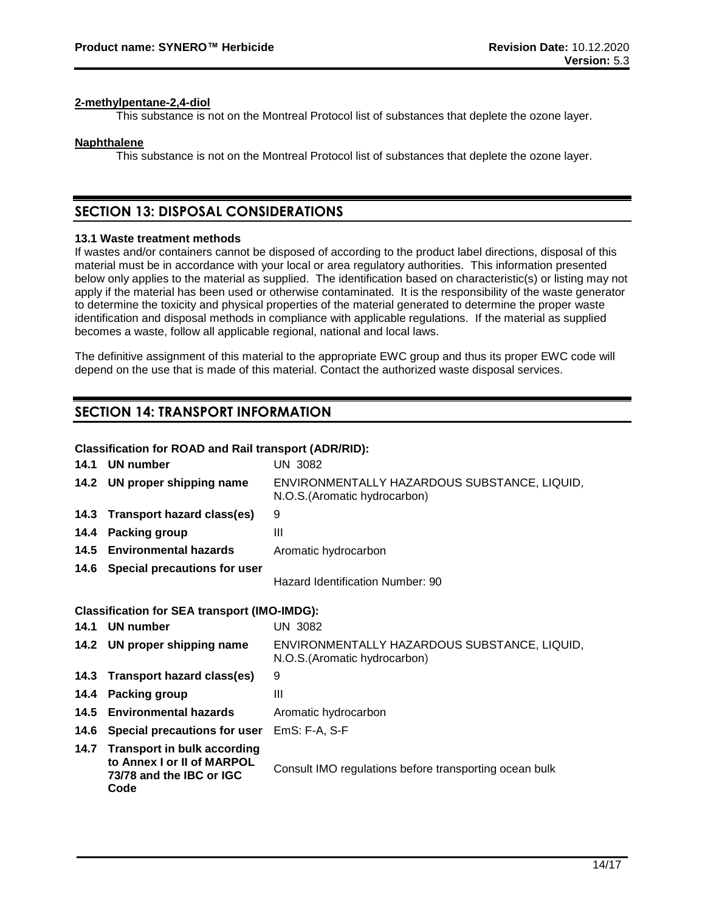### **2-methylpentane-2,4-diol**

This substance is not on the Montreal Protocol list of substances that deplete the ozone layer.

#### **Naphthalene**

This substance is not on the Montreal Protocol list of substances that deplete the ozone layer.

# **SECTION 13: DISPOSAL CONSIDERATIONS**

#### **13.1 Waste treatment methods**

If wastes and/or containers cannot be disposed of according to the product label directions, disposal of this material must be in accordance with your local or area regulatory authorities. This information presented below only applies to the material as supplied. The identification based on characteristic(s) or listing may not apply if the material has been used or otherwise contaminated. It is the responsibility of the waste generator to determine the toxicity and physical properties of the material generated to determine the proper waste identification and disposal methods in compliance with applicable regulations. If the material as supplied becomes a waste, follow all applicable regional, national and local laws.

The definitive assignment of this material to the appropriate EWC group and thus its proper EWC code will depend on the use that is made of this material. Contact the authorized waste disposal services.

# **SECTION 14: TRANSPORT INFORMATION**

### **Classification for ROAD and Rail transport (ADR/RID):**

| 14.1 | <b>UN number</b>                                                                                     | <b>UN 3082</b>                                                                |  |
|------|------------------------------------------------------------------------------------------------------|-------------------------------------------------------------------------------|--|
|      | 14.2 UN proper shipping name                                                                         | ENVIRONMENTALLY HAZARDOUS SUBSTANCE, LIQUID,<br>N.O.S. (Aromatic hydrocarbon) |  |
| 14.3 | Transport hazard class(es)                                                                           | 9                                                                             |  |
| 14.4 | Packing group                                                                                        | $\mathbf{III}$                                                                |  |
|      | 14.5 Environmental hazards                                                                           | Aromatic hydrocarbon                                                          |  |
|      | 14.6 Special precautions for user                                                                    | Hazard Identification Number: 90                                              |  |
|      | <b>Classification for SEA transport (IMO-IMDG):</b>                                                  |                                                                               |  |
|      | 14.1 UN number                                                                                       | <b>UN 3082</b>                                                                |  |
|      | 14.2 UN proper shipping name                                                                         | ENVIRONMENTALLY HAZARDOUS SUBSTANCE, LIQUID,<br>N.O.S. (Aromatic hydrocarbon) |  |
| 14.3 | <b>Transport hazard class(es)</b>                                                                    | 9                                                                             |  |
| 14.4 | <b>Packing group</b>                                                                                 | $\mathbf{III}$                                                                |  |
| 14.5 | <b>Environmental hazards</b>                                                                         | Aromatic hydrocarbon                                                          |  |
| 14.6 | Special precautions for user                                                                         | EmS: F-A, S-F                                                                 |  |
| 14.7 | <b>Transport in bulk according</b><br>to Annex I or II of MARPOL<br>73/78 and the IBC or IGC<br>Code | Consult IMO regulations before transporting ocean bulk                        |  |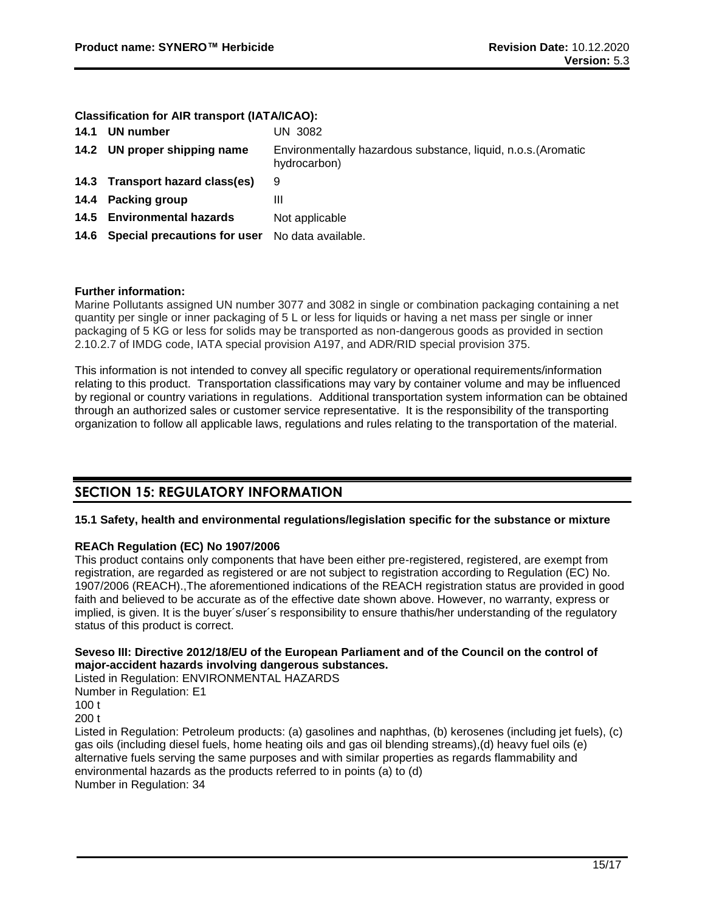#### **Classification for AIR transport (IATA/ICAO):**

| 14.1 UN number                                       | UN 3082                                                                       |
|------------------------------------------------------|-------------------------------------------------------------------------------|
| 14.2 UN proper shipping name                         | Environmentally hazardous substance, liquid, n.o.s. (Aromatic<br>hydrocarbon) |
| 14.3 Transport hazard class(es)                      | 9                                                                             |
| 14.4 Packing group                                   | Ш                                                                             |
| 14.5 Environmental hazards                           | Not applicable                                                                |
| 14.6 Special precautions for user No data available. |                                                                               |

### **Further information:**

Marine Pollutants assigned UN number 3077 and 3082 in single or combination packaging containing a net quantity per single or inner packaging of 5 L or less for liquids or having a net mass per single or inner packaging of 5 KG or less for solids may be transported as non-dangerous goods as provided in section 2.10.2.7 of IMDG code, IATA special provision A197, and ADR/RID special provision 375.

This information is not intended to convey all specific regulatory or operational requirements/information relating to this product. Transportation classifications may vary by container volume and may be influenced by regional or country variations in regulations. Additional transportation system information can be obtained through an authorized sales or customer service representative. It is the responsibility of the transporting organization to follow all applicable laws, regulations and rules relating to the transportation of the material.

# **SECTION 15: REGULATORY INFORMATION**

### **15.1 Safety, health and environmental regulations/legislation specific for the substance or mixture**

### **REACh Regulation (EC) No 1907/2006**

This product contains only components that have been either pre-registered, registered, are exempt from registration, are regarded as registered or are not subject to registration according to Regulation (EC) No. 1907/2006 (REACH).,The aforementioned indications of the REACH registration status are provided in good faith and believed to be accurate as of the effective date shown above. However, no warranty, express or implied, is given. It is the buyer´s/user´s responsibility to ensure thathis/her understanding of the regulatory status of this product is correct.

# **Seveso III: Directive 2012/18/EU of the European Parliament and of the Council on the control of major-accident hazards involving dangerous substances.**

Listed in Regulation: ENVIRONMENTAL HAZARDS Number in Regulation: E1 100 t 200 t Listed in Regulation: Petroleum products: (a) gasolines and naphthas, (b) kerosenes (including jet fuels), (c) gas oils (including diesel fuels, home heating oils and gas oil blending streams),(d) heavy fuel oils (e) alternative fuels serving the same purposes and with similar properties as regards flammability and environmental hazards as the products referred to in points (a) to (d)

Number in Regulation: 34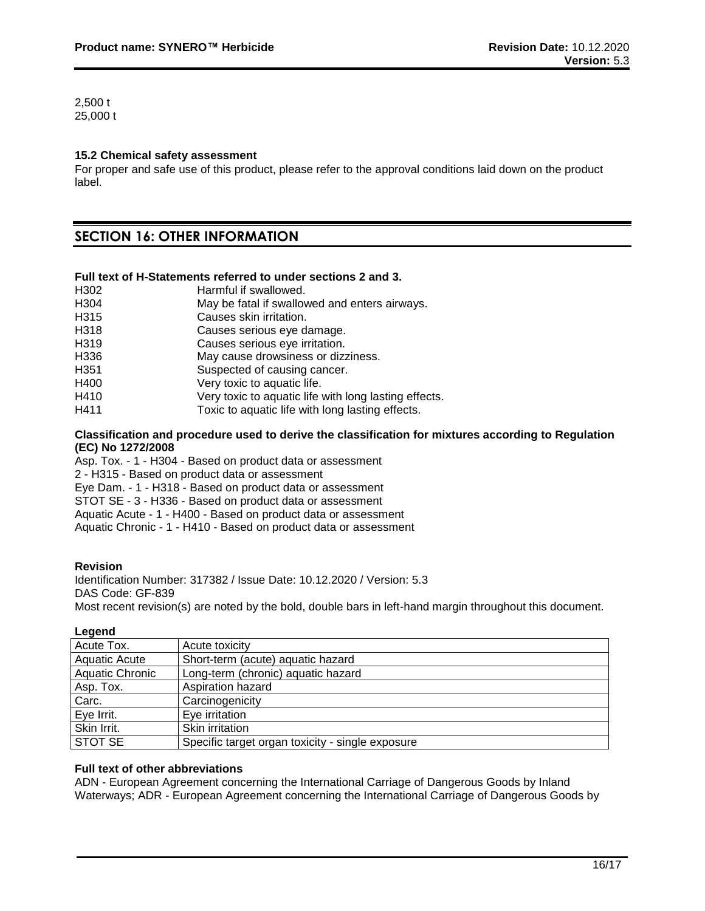2,500 t 25,000 t

# **15.2 Chemical safety assessment**

For proper and safe use of this product, please refer to the approval conditions laid down on the product label.

# **SECTION 16: OTHER INFORMATION**

#### **Full text of H-Statements referred to under sections 2 and 3.**

| H302             | Harmful if swallowed.                                 |
|------------------|-------------------------------------------------------|
| H <sub>304</sub> | May be fatal if swallowed and enters airways.         |
| H <sub>315</sub> | Causes skin irritation.                               |
| H318             | Causes serious eye damage.                            |
| H319             | Causes serious eye irritation.                        |
| H336             | May cause drowsiness or dizziness.                    |
| H <sub>351</sub> | Suspected of causing cancer.                          |
| H400             | Very toxic to aquatic life.                           |
| H410             | Very toxic to aquatic life with long lasting effects. |
| H411             | Toxic to aquatic life with long lasting effects.      |

#### **Classification and procedure used to derive the classification for mixtures according to Regulation (EC) No 1272/2008**

Asp. Tox. - 1 - H304 - Based on product data or assessment

2 - H315 - Based on product data or assessment

Eye Dam. - 1 - H318 - Based on product data or assessment

STOT SE - 3 - H336 - Based on product data or assessment

Aquatic Acute - 1 - H400 - Based on product data or assessment

Aquatic Chronic - 1 - H410 - Based on product data or assessment

### **Revision**

Identification Number: 317382 / Issue Date: 10.12.2020 / Version: 5.3 DAS Code: GF-839 Most recent revision(s) are noted by the bold, double bars in left-hand margin throughout this document.

### **Legend**

| Acute Tox.             | Acute toxicity                                   |
|------------------------|--------------------------------------------------|
| <b>Aquatic Acute</b>   | Short-term (acute) aquatic hazard                |
| <b>Aquatic Chronic</b> | Long-term (chronic) aquatic hazard               |
| Asp. Tox.              | Aspiration hazard                                |
| Carc.                  | Carcinogenicity                                  |
| Eye Irrit.             | Eye irritation                                   |
| Skin Irrit.            | Skin irritation                                  |
| <b>STOT SE</b>         | Specific target organ toxicity - single exposure |

# **Full text of other abbreviations**

ADN - European Agreement concerning the International Carriage of Dangerous Goods by Inland Waterways; ADR - European Agreement concerning the International Carriage of Dangerous Goods by